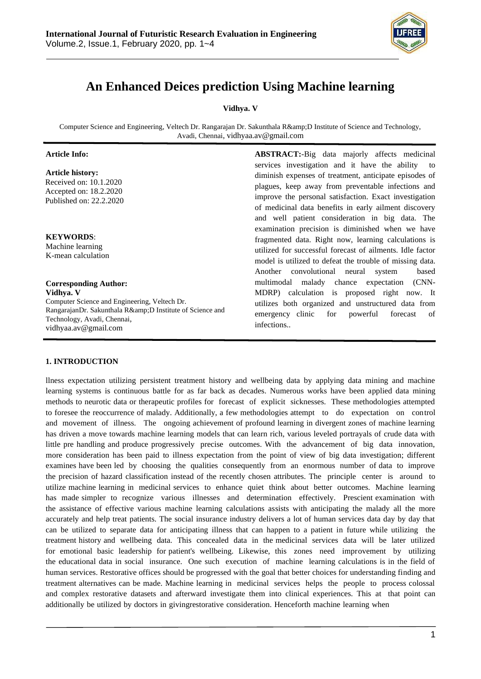

# **An Enhanced Deices prediction Using Machine learning**

**Vidhya. V**

Computer Science and Engineering, Veltech Dr. Rangarajan Dr. Sakunthala R&D Institute of Science and Technology, Avadi, Chennai[, vidhyaa.av@gmail.com](mailto:vidhyaa.av@gmail.com)

## **Article Info:**

**Article history:**

 Received on: 10.1.2020 Accepted on: 18.2.2020 Published on: 22.2.2020

**KEYWORDS**: Machine learning K-mean calculation

**Corresponding Author: Vidhya. V** Computer Science and Engineering, Veltech Dr. RangarajanDr. Sakunthala R&D Institute of Science and Technology, Avadi, Chennai, [vidhyaa.av@gmail.com](mailto:vidhyaa.av@gmail.com)

**ABSTRACT:**-Big data majorly affects medicinal services investigation and it have the ability diminish expenses of treatment, anticipate episodes of plagues, keep away from preventable infections and improve the personal satisfaction. Exact investigation of medicinal data benefits in early ailment discovery and well patient consideration in big data. The examination precision is diminished when we have fragmented data. Right now, learning calculations is utilized for successful forecast of ailments. Idle factor model is utilized to defeat the trouble of missing data. Another convolutional neural system based multimodal malady chance expectation (CNN-MDRP) calculation is proposed right now. It utilizes both organized and unstructured data from emergency clinic for powerful forecast of infections..

## **1. INTRODUCTION**

llness expectation utilizing persistent treatment history and wellbeing data by applying data mining and machine learning systems is continuous battle for as far back as decades. Numerous works have been applied data mining methods to neurotic data or therapeutic profiles for forecast of explicit sicknesses. These methodologies attempted to foresee the reoccurrence of malady. Additionally, a few methodologies attempt to do expectation on control and movement of illness. The ongoing achievement of profound learning in divergent zones of machine learning has driven a move towards machine learning models that can learn rich, various leveled portrayals of crude data with little pre handling and produce progressively precise outcomes. With the advancement of big data innovation, more consideration has been paid to illness expectation from the point of view of big data investigation; different examines have been led by choosing the qualities consequently from an enormous number of data to improve the precision of hazard classification instead of the recently chosen attributes. The principle center is around to utilize machine learning in medicinal services to enhance quiet think about better outcomes. Machine learning has made simpler to recognize various illnesses and determination effectively. Prescient examination with the assistance of effective various machine learning calculations assists with anticipating the malady all the more accurately and help treat patients. The social insurance industry delivers a lot of human services data day by day that can be utilized to separate data for anticipating illness that can happen to a patient in future while utilizing the treatment history and wellbeing data. This concealed data in the medicinal services data will be later utilized for emotional basic leadership for patient's wellbeing. Likewise, this zones need improvement by utilizing the educational data in social insurance. One such execution of machine learning calculations is in the field of human services. Restorative offices should be progressed with the goal that better choices for understanding finding and treatment alternatives can be made. Machine learning in medicinal services helps the people to process colossal and complex restorative datasets and afterward investigate them into clinical experiences. This at that point can additionally be utilized by doctors in givingrestorative consideration. Henceforth machine learning when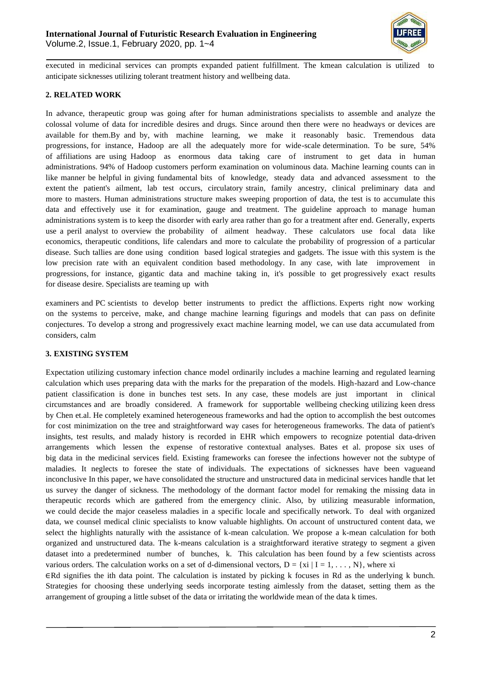

executed in medicinal services can prompts expanded patient fulfillment. The kmean calculation is utilized to anticipate sicknesses utilizing tolerant treatment history and wellbeing data.

## **2. RELATED WORK**

In advance, therapeutic group was going after for human administrations specialists to assemble and analyze the colossal volume of data for incredible desires and drugs. Since around then there were no headways or devices are available for them.By and by, with machine learning, we make it reasonably basic. Tremendous data progressions, for instance, Hadoop are all the adequately more for wide-scale determination. To be sure, 54% of affiliations are using Hadoop as enormous data taking care of instrument to get data in human administrations. 94% of Hadoop customers perform examination on voluminous data. Machine learning counts can in like manner be helpful in giving fundamental bits of knowledge, steady data and advanced assessment to the extent the patient's ailment, lab test occurs, circulatory strain, family ancestry, clinical preliminary data and more to masters. Human administrations structure makes sweeping proportion of data, the test is to accumulate this data and effectively use it for examination, gauge and treatment. The guideline approach to manage human administrations system is to keep the disorder with early area rather than go for a treatment after end. Generally, experts use a peril analyst to overview the probability of ailment headway. These calculators use focal data like economics, therapeutic conditions, life calendars and more to calculate the probability of progression of a particular disease. Such tallies are done using condition based logical strategies and gadgets. The issue with this system is the low precision rate with an equivalent condition based methodology. In any case, with late improvement in progressions, for instance, gigantic data and machine taking in, it's possible to get progressively exact results for disease desire. Specialists are teaming up with

examiners and PC scientists to develop better instruments to predict the afflictions. Experts right now working on the systems to perceive, make, and change machine learning figurings and models that can pass on definite conjectures. To develop a strong and progressively exact machine learning model, we can use data accumulated from considers, calm

## **3. EXISTING SYSTEM**

Expectation utilizing customary infection chance model ordinarily includes a machine learning and regulated learning calculation which uses preparing data with the marks for the preparation of the models. High-hazard and Low-chance patient classification is done in bunches test sets. In any case, these models are just important in clinical circumstances and are broadly considered. A framework for supportable wellbeing checking utilizing keen dress by Chen et.al. He completely examined heterogeneous frameworks and had the option to accomplish the best outcomes for cost minimization on the tree and straightforward way cases for heterogeneous frameworks. The data of patient's insights, test results, and malady history is recorded in EHR which empowers to recognize potential data-driven arrangements which lessen the expense of restorative contextual analyses. Bates et al. propose six uses of big data in the medicinal services field. Existing frameworks can foresee the infections however not the subtype of maladies. It neglects to foresee the state of individuals. The expectations of sicknesses have been vagueand inconclusive In this paper, we have consolidated the structure and unstructured data in medicinal services handle that let us survey the danger of sickness. The methodology of the dormant factor model for remaking the missing data in therapeutic records which are gathered from the emergency clinic. Also, by utilizing measurable information, we could decide the major ceaseless maladies in a specific locale and specifically network. To deal with organized data, we counsel medical clinic specialists to know valuable highlights. On account of unstructured content data, we select the highlights naturally with the assistance of k-mean calculation. We propose a k-mean calculation for both organized and unstructured data. The k-means calculation is a straightforward iterative strategy to segment a given dataset into a predetermined number of bunches, k. This calculation has been found by a few scientists across various orders. The calculation works on a set of d-dimensional vectors,  $D = \{xi \mid I = 1, \ldots, N\}$ , where  $xi$ 

∈Rd signifies the ith data point. The calculation is instated by picking k focuses in Rd as the underlying k bunch. Strategies for choosing these underlying seeds incorporate testing aimlessly from the dataset, setting them as the arrangement of grouping a little subset of the data or irritating the worldwide mean of the data k times.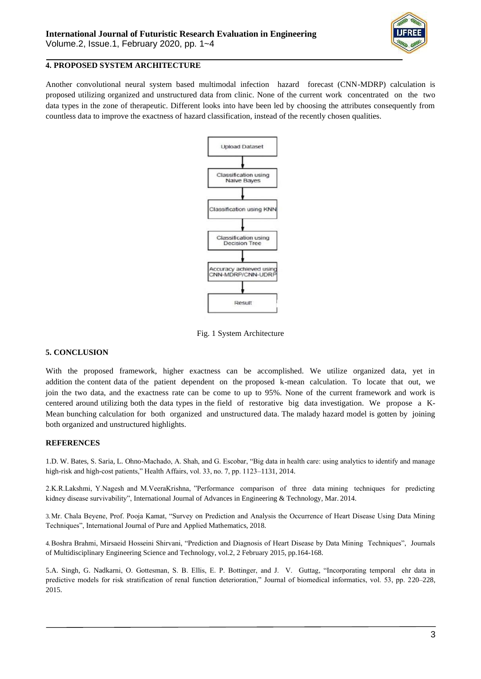

#### **4. PROPOSED SYSTEM ARCHITECTURE**

Another convolutional neural system based multimodal infection hazard forecast (CNN-MDRP) calculation is proposed utilizing organized and unstructured data from clinic. None of the current work concentrated on the two data types in the zone of therapeutic. Different looks into have been led by choosing the attributes consequently from countless data to improve the exactness of hazard classification, instead of the recently chosen qualities.



Fig. 1 System Architecture

## **5. CONCLUSION**

With the proposed framework, higher exactness can be accomplished. We utilize organized data, yet in addition the content data of the patient dependent on the proposed k-mean calculation. To locate that out, we join the two data, and the exactness rate can be come to up to 95%. None of the current framework and work is centered around utilizing both the data types in the field of restorative big data investigation. We propose a K-Mean bunching calculation for both organized and unstructured data. The malady hazard model is gotten by joining both organized and unstructured highlights.

## **REFERENCES**

1.D. W. Bates, S. Saria, L. Ohno-Machado, A. Shah, and G. Escobar, "Big data in health care: using analytics to identify and manage high-risk and high-cost patients," Health Affairs, vol. 33, no. 7, pp. 1123–1131, 2014.

2.K.R.Lakshmi, Y.Nagesh and M.VeeraKrishna, "Performance comparison of three data mining techniques for predicting kidney disease survivability", International Journal of Advances in Engineering & Technology, Mar. 2014.

3.Mr. Chala Beyene, Prof. Pooja Kamat, "Survey on Prediction and Analysis the Occurrence of Heart Disease Using Data Mining Techniques", International Journal of Pure and Applied Mathematics, 2018.

4.Boshra Brahmi, Mirsaeid Hosseini Shirvani, "Prediction and Diagnosis of Heart Disease by Data Mining Techniques", Journals of Multidisciplinary Engineering Science and Technology, vol.2, 2 February 2015, pp.164-168.

5.A. Singh, G. Nadkarni, O. Gottesman, S. B. Ellis, E. P. Bottinger, and J. V. Guttag, "Incorporating temporal ehr data in predictive models for risk stratification of renal function deterioration," Journal of biomedical informatics, vol. 53, pp. 220–228, 2015.